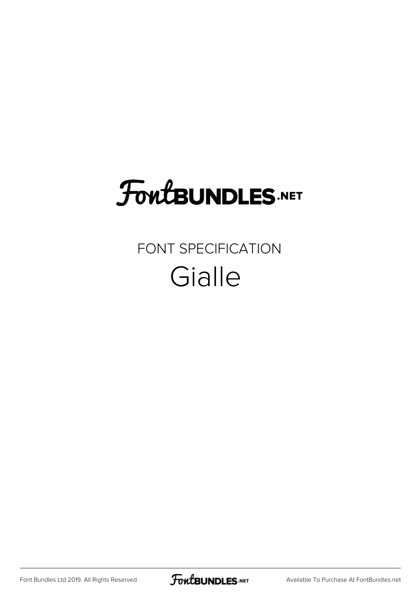# **FoutBUNDLES.NET**

#### FONT SPECIFICATION **Gialle**

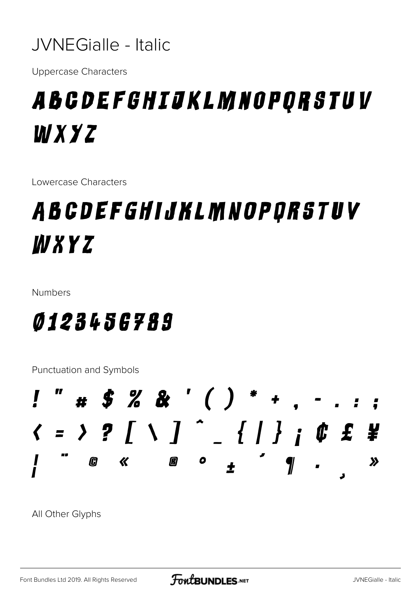

**Uppercase Characters** 

### A B C D E F G H I J K L M N O P Q R S T U V WXYZ

Lowercase Characters

### A B C D E F G H I J K L M N O P Q R S T U V WXYZ

**Numbers** 

#### *0123456789*

Punctuation and Symbols



All Other Glyphs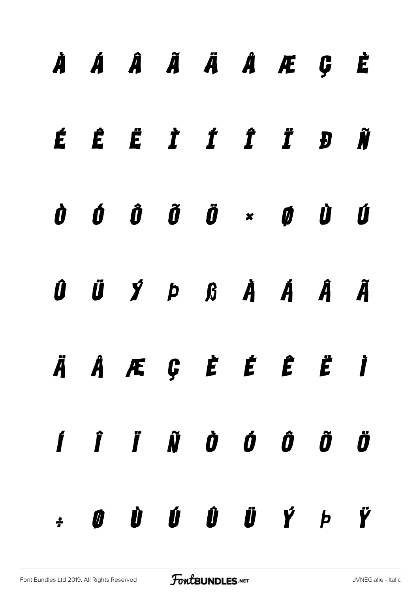|  | À Á Â Ã Ä Å Æ Ç È                                                                                                                                                                                                                                                                                                                                                                                                                                                                            |  |  |  |
|--|----------------------------------------------------------------------------------------------------------------------------------------------------------------------------------------------------------------------------------------------------------------------------------------------------------------------------------------------------------------------------------------------------------------------------------------------------------------------------------------------|--|--|--|
|  | ÉÊË TÍTIĐÑ                                                                                                                                                                                                                                                                                                                                                                                                                                                                                   |  |  |  |
|  | $\begin{array}{ccccccccccccccccc} \dot{\mathbf{0}} & \dot{\mathbf{0}} & \dot{\mathbf{0}} & \dot{\mathbf{0}} & \dot{\mathbf{0}} & \dot{\mathbf{0}} & \dot{\mathbf{0}} & \dot{\mathbf{0}} & \dot{\mathbf{0}} & \dot{\mathbf{0}} & \dot{\mathbf{0}} & \dot{\mathbf{0}} & \dot{\mathbf{0}} & \dot{\mathbf{0}} & \dot{\mathbf{0}} & \dot{\mathbf{0}} & \dot{\mathbf{0}} & \dot{\mathbf{0}} & \dot{\mathbf{0}} & \dot{\mathbf{0}} & \dot{\mathbf{0}} & \dot{\mathbf{0}} & \dot{\mathbf{0}} & \dot$ |  |  |  |
|  | $\begin{array}{ccccccccccccccccccccc} 0 & \ddot{U} & \ddot{U} & \dot{Y} & \dot{P} & \dot{B} & \dot{A} & \dot{A} & \dot{A} & \dot{A} & \ddot{A} \end{array}$                                                                                                                                                                                                                                                                                                                                  |  |  |  |
|  | ÄÄÆÇ È É Ë Ë Ï                                                                                                                                                                                                                                                                                                                                                                                                                                                                               |  |  |  |
|  | $\boldsymbol{j}$ $\boldsymbol{j}$ $\boldsymbol{k}$ $\boldsymbol{j}$ $\boldsymbol{j}$ $\boldsymbol{j}$ $\boldsymbol{j}$ $\boldsymbol{j}$ $\boldsymbol{j}$ $\boldsymbol{j}$ $\boldsymbol{j}$ $\boldsymbol{j}$ $\boldsymbol{j}$ $\boldsymbol{j}$ $\boldsymbol{j}$ $\boldsymbol{j}$ $\boldsymbol{j}$ $\boldsymbol{j}$ $\boldsymbol{j}$ $\boldsymbol{j}$ $\boldsymbol{j}$ $\boldsymbol{j}$ $\boldsymbol{j}$ $\boldsymbol{j}$ $\boldsymbol{j}$ $\boldsymbol{j}$ $\boldsymbol{j}$ $\boldsymbol{j$   |  |  |  |
|  | $\mathbf{y} = \mathbf{y} - \mathbf{y} - \mathbf{y} - \mathbf{y} - \mathbf{y} - \mathbf{y} - \mathbf{y} - \mathbf{y} - \mathbf{y} - \mathbf{y} - \mathbf{y} - \mathbf{y} - \mathbf{y} - \mathbf{y} - \mathbf{y} - \mathbf{y} - \mathbf{y} - \mathbf{y} - \mathbf{y} - \mathbf{y} - \mathbf{y} - \mathbf{y} - \mathbf{y} - \mathbf{y} - \mathbf{y} - \mathbf{y} - \mathbf{y} - \mathbf{y} - \mathbf{y} - \mathbf{y} - \mathbf$                                                                 |  |  |  |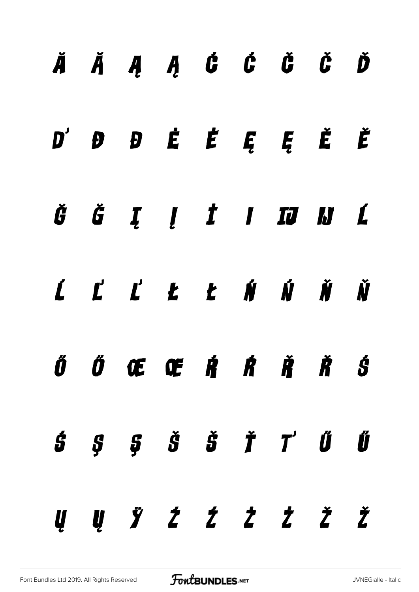|  | ĂĂĄĄ Ć Ć Č Č Ď                                                                       |  |  |  |
|--|--------------------------------------------------------------------------------------|--|--|--|
|  | $D'$ $D$ $D$ $\acute{E}$ $\acute{E}$ $\acute{E}$ $\acute{E}$ $\acute{E}$ $\acute{E}$ |  |  |  |
|  | ĞĞĮĮ İIII KL                                                                         |  |  |  |
|  | ĹĽĽŁŁŃŃŇ                                                                             |  |  |  |
|  | ŐŐŒŒŔŔŘŠ                                                                             |  |  |  |
|  | $\dot{5}$ $\dot{5}$ $\dot{5}$ $\dot{5}$ $\dot{7}$ $\dot{0}$ $\dot{0}$                |  |  |  |
|  | Ų Ų Ÿ Ź Ź Ż Ż Ž Ž                                                                    |  |  |  |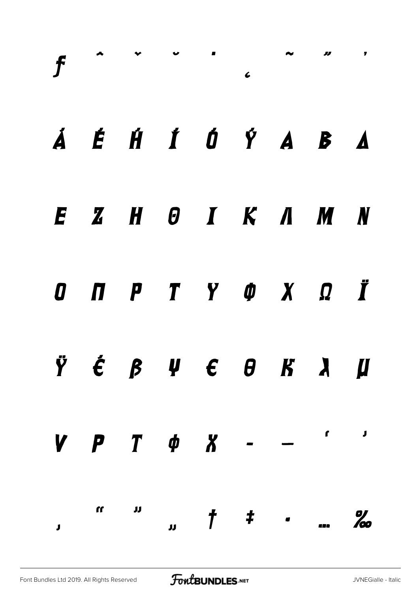|                           |  |  |  | Á É HÍ Ó Ý A B A                                                                     |  |
|---------------------------|--|--|--|--------------------------------------------------------------------------------------|--|
|                           |  |  |  | EZHOIK AMN                                                                           |  |
|                           |  |  |  | O N P T Y O X Q Ï                                                                    |  |
|                           |  |  |  | $\ddot{Y}$ $\acute{\epsilon}$ $\beta$ $\psi$ $\epsilon$ $\theta$ $K$ $\lambda$ $\mu$ |  |
|                           |  |  |  | $V \quad P \quad T \quad \phi \quad X \quad - \quad - \quad \cdots$                  |  |
| $\mathbf{J}^{\text{max}}$ |  |  |  |                                                                                      |  |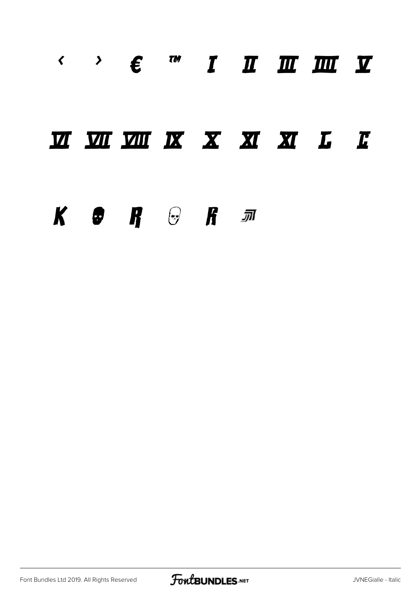#### $\leftarrow$   $\leftarrow$   $\leftarrow$   $\leftarrow$   $\leftarrow$   $\leftarrow$   $\leftarrow$   $\leftarrow$   $\leftarrow$   $\leftarrow$   $\leftarrow$   $\leftarrow$   $\leftarrow$   $\leftarrow$   $\leftarrow$   $\leftarrow$   $\leftarrow$   $\leftarrow$   $\leftarrow$   $\leftarrow$   $\leftarrow$   $\leftarrow$   $\leftarrow$   $\leftarrow$   $\leftarrow$   $\leftarrow$   $\leftarrow$   $\leftarrow$   $\leftarrow$   $\leftarrow$   $\leftarrow$   $\leftarrow$   $\leftarrow$   $\leftarrow$   $\leftarrow$   $\leftarrow$   $\leftarrow$

#### **MMMMKXXXXLE**

#### $K$   $\Theta$   $R$   $\Theta$   $R$   $\pi$

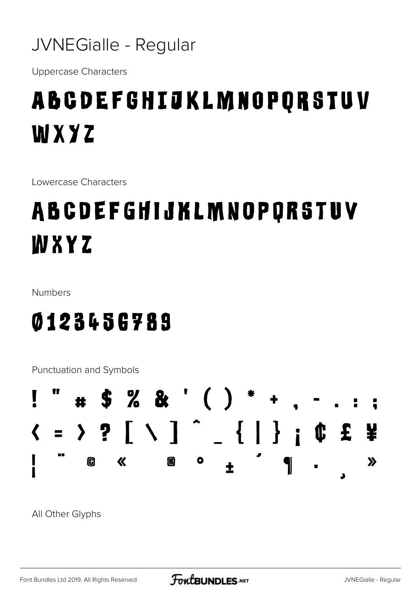#### JVNEGialle - Regular

**Uppercase Characters** 

# **ABCDEFGHIJKLMNOPQRSTUV** WXYZ

Lowercase Characters

# ABCDEFGHIJKLMNOPQRSTUV WXYZ

**Numbers** 

#### 0123456789

Punctuation and Symbols



All Other Glyphs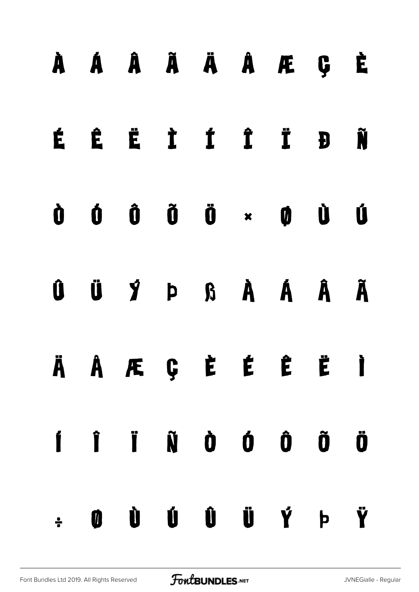|  | À Á Â Ã Ä Å Æ Ç È                                                                                                                                                                                                                                                                                                                                                                                                                                                                            |  |  |  |
|--|----------------------------------------------------------------------------------------------------------------------------------------------------------------------------------------------------------------------------------------------------------------------------------------------------------------------------------------------------------------------------------------------------------------------------------------------------------------------------------------------|--|--|--|
|  | ÉÊË TÍ TĐÑ                                                                                                                                                                                                                                                                                                                                                                                                                                                                                   |  |  |  |
|  | $\begin{array}{ccccccccccccccccc} \hat{\mathbf{U}} & \hat{\mathbf{U}} & \hat{\mathbf{U}} & \hat{\mathbf{U}} & \hat{\mathbf{U}} & \hat{\mathbf{U}} & \hat{\mathbf{U}} & \hat{\mathbf{U}} & \hat{\mathbf{U}} & \hat{\mathbf{U}} & \hat{\mathbf{U}} & \hat{\mathbf{U}} & \hat{\mathbf{U}} & \hat{\mathbf{U}} & \hat{\mathbf{U}} & \hat{\mathbf{U}} & \hat{\mathbf{U}} & \hat{\mathbf{U}} & \hat{\mathbf{U}} & \hat{\mathbf{U}} & \hat{\mathbf{U}} & \hat{\mathbf{U}} & \hat{\mathbf{U}} & \hat$ |  |  |  |
|  |                                                                                                                                                                                                                                                                                                                                                                                                                                                                                              |  |  |  |
|  | Ä Å Æ Ç È É Ë Ë Ì                                                                                                                                                                                                                                                                                                                                                                                                                                                                            |  |  |  |
|  | Í Î Ï Ñ Ò Ó Ô Õ Ö                                                                                                                                                                                                                                                                                                                                                                                                                                                                            |  |  |  |
|  | $\div$ 0 0 0 0 0 0 $\dot{V}$ b $\ddot{V}$                                                                                                                                                                                                                                                                                                                                                                                                                                                    |  |  |  |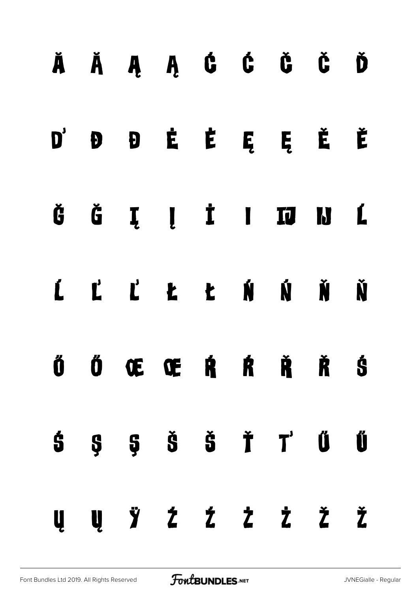|  |  |  | ĂĂĄĄ ĊĆ ČČĎ                 |  |
|--|--|--|-----------------------------|--|
|  |  |  | D'ĐĐĖĖĘĘĚĚ                  |  |
|  |  |  | ĞĞĮĮ İI IJ IJ L             |  |
|  |  |  | <u>L L L L L N N N N</u>    |  |
|  |  |  | Ő Ő Œ Œ Ŕ Ŕ Ř Š             |  |
|  |  |  | $5$ $5$ $5$ $5$ $7$ $0$ $0$ |  |
|  |  |  | Ų Ų Ÿ Ź Ź Ż Ż Ž Ž           |  |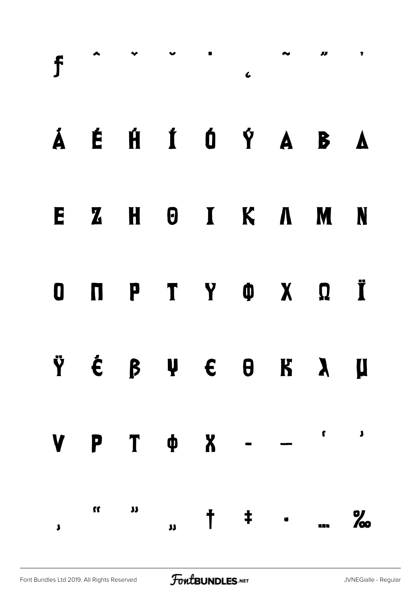|              |                               |  |  | $f \sim 1$                                                                                                                                                                                                                                                                                                            |  |
|--------------|-------------------------------|--|--|-----------------------------------------------------------------------------------------------------------------------------------------------------------------------------------------------------------------------------------------------------------------------------------------------------------------------|--|
|              |                               |  |  | Á É HÍ Ó Ý A B A                                                                                                                                                                                                                                                                                                      |  |
|              |                               |  |  | EZHOIKAMN                                                                                                                                                                                                                                                                                                             |  |
|              |                               |  |  | O N P T Y O X Q Ï                                                                                                                                                                                                                                                                                                     |  |
|              |                               |  |  | Ÿ É β Ψ E Θ K λ μ                                                                                                                                                                                                                                                                                                     |  |
|              |                               |  |  | $V P T \phi X - -$                                                                                                                                                                                                                                                                                                    |  |
| $\mathbf{J}$ | $\mathfrak{u}$ $\mathfrak{n}$ |  |  | $\frac{1}{1}$ + $\frac{1}{1}$ $\frac{1}{1}$ $\frac{1}{1}$ $\frac{1}{1}$ $\frac{1}{1}$ $\frac{1}{1}$ $\frac{1}{1}$ $\frac{1}{1}$ $\frac{1}{1}$ $\frac{1}{1}$ $\frac{1}{1}$ $\frac{1}{1}$ $\frac{1}{1}$ $\frac{1}{1}$ $\frac{1}{1}$ $\frac{1}{1}$ $\frac{1}{1}$ $\frac{1}{1}$ $\frac{1}{1}$ $\frac{1}{1}$ $\frac{1}{1}$ |  |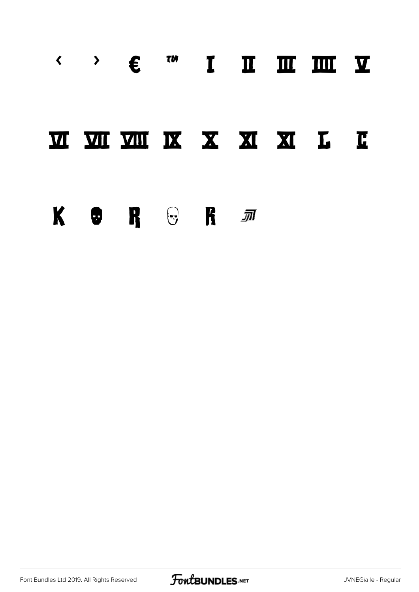#### $\leftarrow$  >  $\epsilon$   $\alpha$ I II III III V

#### **M M M K X X X X L C**

#### $\begin{picture}(60,6) \put(0,0){\vector(0,1){100}} \put(15,0){\vector(0,1){100}} \put(15,0){\vector(0,1){100}} \put(15,0){\vector(0,1){100}} \put(15,0){\vector(0,1){100}} \put(15,0){\vector(0,1){100}} \put(15,0){\vector(0,1){100}} \put(15,0){\vector(0,1){100}} \put(15,0){\vector(0,1){100}} \put(15,0){\vector(0,1){100}} \put(15,0){\vector(0,1){100}} \put$

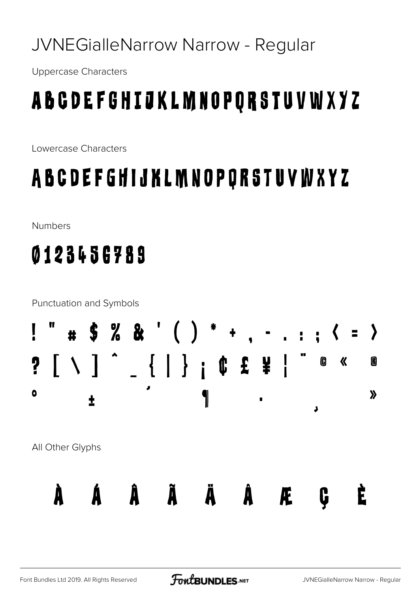#### JVNEGialleNarrow Narrow - Regular

**Uppercase Characters** 

## A B C D E F G H I J K L M N O P Q R S T U V W X Y Z

Lowercase Characters

#### A B C D E F G H I J K L M N O P Q R S T U V W X Y Z

**Numbers** 

#### 0123456789

**Punctuation and Symbols** # \$ % & ' ( ) \* +  $-$  . : ;  $\langle$  =  $\rangle$  $? [ \ \ ] \ \ ] \ \ . \ \{ \ | \ \} \ \ ; \ \ \emptyset \ \ \ \emptyset \ \ \ \emptyset$ 0 《 M  $\bullet$  $\boldsymbol{\lambda}$ 1 ╋ J All Other Glyphs ÂÃ  $\ddot{\mathbf{A}}$  $\ddot{\textbf{A}}$ È Å. À Æ C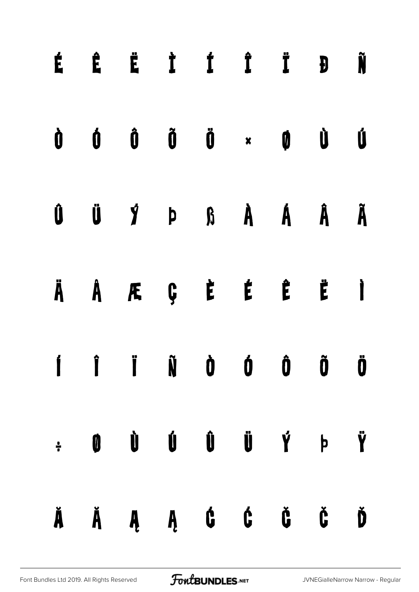|  | É Ê Ë Ì Í Í Ï Đ Ñ                                                                                                                                                                                                                                                                                                                                                                                                                                                                             |  |  |  |
|--|-----------------------------------------------------------------------------------------------------------------------------------------------------------------------------------------------------------------------------------------------------------------------------------------------------------------------------------------------------------------------------------------------------------------------------------------------------------------------------------------------|--|--|--|
|  | $\begin{array}{ccccccccccccccccc} \dot{0} & \dot{0} & \dot{0} & \ddot{0} & \ddot{0} & \dot{0} & \dot{0} & \dot{0} & \dot{0} & \dot{0} & \dot{0} & \dot{0} & \dot{0} & \dot{0} & \dot{0} & \dot{0} & \dot{0} & \dot{0} & \dot{0} & \dot{0} & \dot{0} & \dot{0} & \dot{0} & \dot{0} & \dot{0} & \dot{0} & \dot{0} & \dot{0} & \dot{0} & \dot{0} & \dot{0} & \dot{0} & \dot{0} & \dot{0} & \dot{$                                                                                                |  |  |  |
|  | $\begin{array}{ccccccccccccccccccccc} \hat{\mathbf{U}} & \hat{\mathbf{U}} & \hat{\mathbf{Y}} & \hat{\mathbf{P}} & \hat{\mathbf{B}} & \hat{\mathbf{A}} & \hat{\mathbf{A}} & \hat{\mathbf{A}} & \hat{\mathbf{A}} & \hat{\mathbf{A}} & \hat{\mathbf{A}} & \hat{\mathbf{A}} & \hat{\mathbf{A}} & \hat{\mathbf{A}} & \hat{\mathbf{A}} & \hat{\mathbf{A}} & \hat{\mathbf{A}} & \hat{\mathbf{A}} & \hat{\mathbf{A}} & \hat{\mathbf{A}} & \hat{\mathbf{A}} & \hat{\mathbf{A}} & \hat{\mathbf{A}} & \$ |  |  |  |
|  | ÄÄÆÇĖĖË Ë Ì                                                                                                                                                                                                                                                                                                                                                                                                                                                                                   |  |  |  |
|  | $\begin{array}{ccccccccccccccccc}\nI & I & I & \tilde{N} & \tilde{O} & \tilde{O} & \tilde{O} & \tilde{O}\n\end{array}$                                                                                                                                                                                                                                                                                                                                                                        |  |  |  |
|  | $\div$ 0 0 0 0 0 0 $\dot{V}$ b $\ddot{V}$                                                                                                                                                                                                                                                                                                                                                                                                                                                     |  |  |  |
|  | ĂĂĄĄ Ć, Č, Č, Č, Ď                                                                                                                                                                                                                                                                                                                                                                                                                                                                            |  |  |  |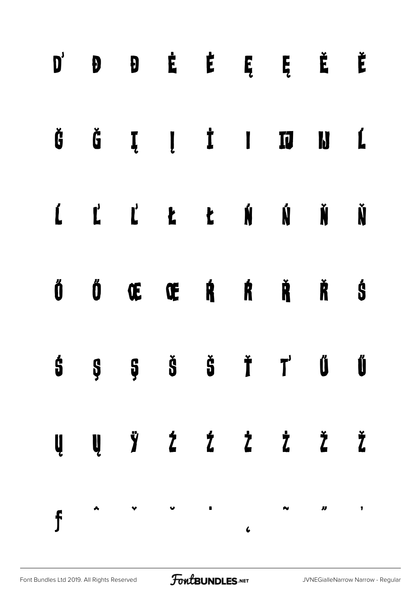|  |  |  | $D'$ $D$ $D$ $\dot{E}$ $\dot{E}$ $E$ $\ddot{E}$ $\dot{E}$                                                                                                                                                                                                                                                                                                                                                                             |  |
|--|--|--|---------------------------------------------------------------------------------------------------------------------------------------------------------------------------------------------------------------------------------------------------------------------------------------------------------------------------------------------------------------------------------------------------------------------------------------|--|
|  |  |  | $\check{\mathtt{G}}\hspace{0.1in} \check{\mathtt{G}}\hspace{0.1in} \mathtt{I}\hspace{0.1in} \mathtt{I}\hspace{0.1in} \mathtt{I}\hspace{0.1in} \mathtt{I}\hspace{0.1in} \mathtt{I}\hspace{0.1in} \mathtt{I}\hspace{0.1in} \mathtt{I}\hspace{0.1in} \mathtt{I}\hspace{0.1in} \mathtt{I}\hspace{0.1in} \mathtt{I}\hspace{0.1in}$                                                                                                         |  |
|  |  |  | Ú Ľ Ľ Ł Ł Ń Ń Ň                                                                                                                                                                                                                                                                                                                                                                                                                       |  |
|  |  |  | Ő Ő Œ Œ Ŕ Ŕ Ř Š                                                                                                                                                                                                                                                                                                                                                                                                                       |  |
|  |  |  | $\dot{5}$ $\dot{5}$ $\dot{5}$ $\dot{5}$ $\dot{7}$ $\ddot{0}$ $\ddot{0}$                                                                                                                                                                                                                                                                                                                                                               |  |
|  |  |  | $\begin{array}{cccccccccccccc} \mathbf{U} & \mathbf{U} & \mathbf{Y} & \mathbf{Z} & \mathbf{Z} & \mathbf{Z} & \mathbf{Z} & \mathbf{Z} & \mathbf{Z} & \mathbf{Z} & \mathbf{Z} & \mathbf{Z} & \mathbf{Z} & \mathbf{Z} & \mathbf{Z} & \mathbf{Z} & \mathbf{Z} & \mathbf{Z} & \mathbf{Z} & \mathbf{Z} & \mathbf{Z} & \mathbf{Z} & \mathbf{Z} & \mathbf{Z} & \mathbf{Z} & \mathbf{Z} & \mathbf{Z} & \mathbf{Z} & \mathbf{Z} & \mathbf{Z} &$ |  |
|  |  |  | $f \sim 10^{-10}$                                                                                                                                                                                                                                                                                                                                                                                                                     |  |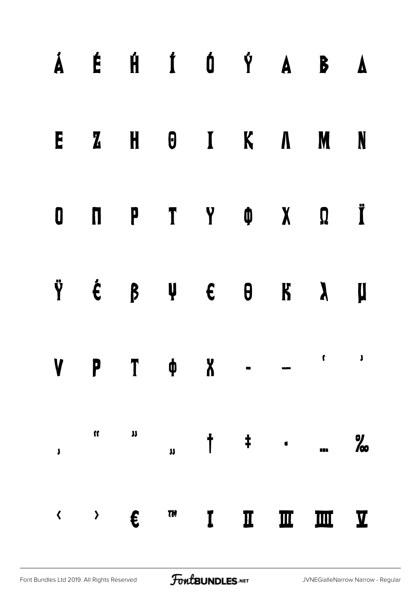|                 |                          |               |                                                                          |              |             |              | Á É HÍ Ó Ý A B A  |                |
|-----------------|--------------------------|---------------|--------------------------------------------------------------------------|--------------|-------------|--------------|-------------------|----------------|
|                 |                          | E Z H O I K A |                                                                          |              |             |              | <b>M</b>          | N              |
|                 |                          |               |                                                                          |              |             |              |                   |                |
|                 |                          |               |                                                                          |              |             |              | Ÿ É β Ψ E Θ K λ μ |                |
|                 | <b>P</b>                 |               | $\begin{array}{ccccccccccccccccc} \varphi & & X & & - & & - \end{array}$ |              |             |              | $\mathbf{r}$      | $\mathbf{J}$   |
| $\mathbf{J}$    | $\mathbf{u}$             | $\mathbf{u}$  | $\mathbf{u}$                                                             |              |             | $\ddagger$   |                   | $\frac{9}{60}$ |
| $\blacklozenge$ | $\rightarrow$ $\epsilon$ |               | TM                                                                       | $\mathbf{I}$ | $\mathbf I$ | $\mathbf{m}$ | <b>M</b> Y        |                |

[Font Bundles Ltd 2019. All Rights Reserved](https://fontbundles.net/) **FoutBUNDLES.NET** [JVNEGialleNarrow Narrow - Regular](https://fontbundles.net/)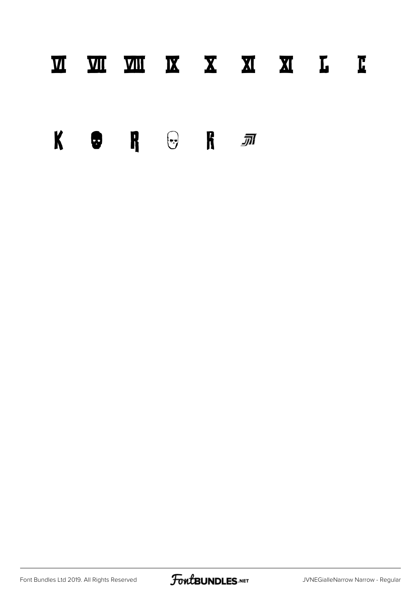#### Ⅵ Ⅶ Ⅷ Ⅸ Ⅹ Ⅺ Ⅻ Ⅼ Ⅽ

 $\begin{picture}(60,6) \put(0,0){\vector(0,1){100}} \put(15,0){\vector(0,1){100}} \put(15,0){\vector(0,1){100}} \put(15,0){\vector(0,1){100}} \put(15,0){\vector(0,1){100}} \put(15,0){\vector(0,1){100}} \put(15,0){\vector(0,1){100}} \put(15,0){\vector(0,1){100}} \put(15,0){\vector(0,1){100}} \put(15,0){\vector(0,1){100}} \put(15,0){\vector(0,1){100}} \put$ 

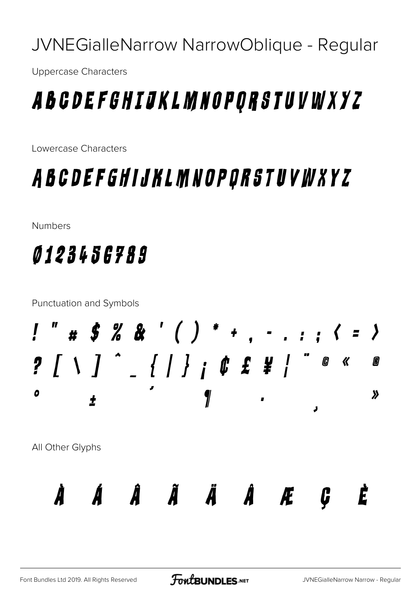JVNEGialleNarrow NarrowOblique - Regular

**Uppercase Characters** 

#### A B G D E F G H I J K L M N O P Q R S T U V W X Y Z

Lowercase Characters

#### A B C D E F G H I J K L M N O P Q R S T U V W X Y Z

**Numbers** 

#### *0123456789*

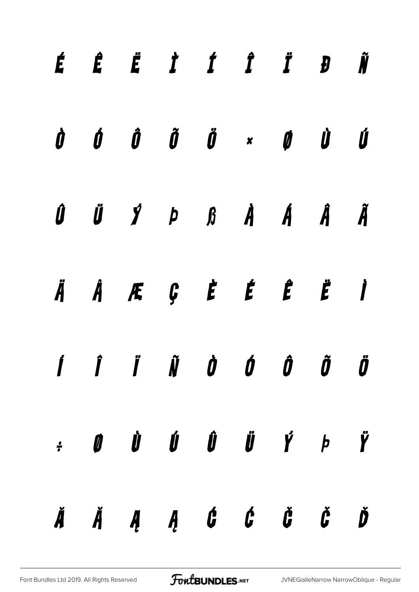|  | É Ê Ë İ Í Î Ï Đ Ñ                                                                                                                                                                                                                                                                                                                                                                                                                                                                             |  |  |  |
|--|-----------------------------------------------------------------------------------------------------------------------------------------------------------------------------------------------------------------------------------------------------------------------------------------------------------------------------------------------------------------------------------------------------------------------------------------------------------------------------------------------|--|--|--|
|  | $\begin{array}{ccccccccccccccccc} \dot{\mathbf{0}} & \dot{\mathbf{0}} & \dot{\mathbf{0}} & \dot{\mathbf{0}} & \dot{\mathbf{0}} & \dot{\mathbf{0}} & \dot{\mathbf{0}} & \dot{\mathbf{0}} & \dot{\mathbf{0}} & \dot{\mathbf{0}} & \dot{\mathbf{0}} & \dot{\mathbf{0}} & \dot{\mathbf{0}} & \dot{\mathbf{0}} & \dot{\mathbf{0}} & \dot{\mathbf{0}} & \dot{\mathbf{0}} & \dot{\mathbf{0}} & \dot{\mathbf{0}} & \dot{\mathbf{0}} & \dot{\mathbf{0}} & \dot{\mathbf{0}} & \dot{\mathbf{0}} & \dot$  |  |  |  |
|  | $\begin{array}{ccccccccccccccccccccc} \hat{\textbf{U}} & \hat{\textbf{U}} & \hat{\textbf{Y}} & \hat{\textbf{P}} & \hat{\textbf{B}} & \hat{\textbf{B}} & \hat{\textbf{A}} & \hat{\textbf{A}} & \hat{\textbf{A}} & \hat{\textbf{A}} & \hat{\textbf{A}} & \hat{\textbf{A}} & \hat{\textbf{A}} & \hat{\textbf{A}} & \hat{\textbf{A}} & \hat{\textbf{A}} & \hat{\textbf{A}} & \hat{\textbf{A}} & \hat{\textbf{A}} & \hat{\textbf{A}} & \hat{\textbf{A}} & \hat{\textbf{A}} & \hat{\textbf{A}} & \$ |  |  |  |
|  | ÄÅÆÇ È É Ë Ë İ                                                                                                                                                                                                                                                                                                                                                                                                                                                                                |  |  |  |
|  | $\boldsymbol{j}$ $\boldsymbol{j}$ $\boldsymbol{j}$ $\boldsymbol{k}$ $\boldsymbol{j}$ $\boldsymbol{j}$ $\boldsymbol{j}$ $\boldsymbol{j}$ $\boldsymbol{j}$ $\boldsymbol{j}$ $\boldsymbol{j}$ $\boldsymbol{j}$ $\boldsymbol{j}$                                                                                                                                                                                                                                                                  |  |  |  |
|  | $\begin{array}{cccccccccccccc} \cdot & \mathbf{0} & \mathbf{0} & \mathbf{0} & \mathbf{0} & \mathbf{0} & \mathbf{0} & \mathbf{0} & \mathbf{0} & \mathbf{0} & \mathbf{0} & \mathbf{0} & \mathbf{0} & \mathbf{0} & \mathbf{0} & \mathbf{0} & \mathbf{0} & \mathbf{0} & \mathbf{0} & \mathbf{0} & \mathbf{0} & \mathbf{0} & \mathbf{0} & \mathbf{0} & \mathbf{0} & \mathbf{0} & \mathbf{0} & \mathbf{0} & \mathbf{0} & \mathbf{0} & \mathbf{$                                                     |  |  |  |
|  | $\check{A}$ $\check{A}$ $\check{A}$ $\check{A}$ $\check{B}$ $\check{C}$ $\check{C}$ $\check{C}$ $\check{C}$ $\check{D}$                                                                                                                                                                                                                                                                                                                                                                       |  |  |  |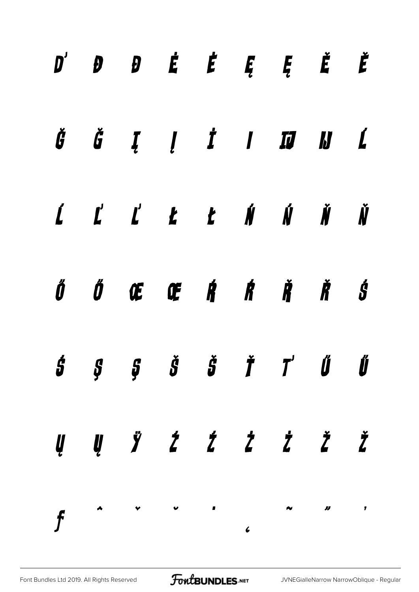|  |  |  | $D'$ $D$ $D$ $\acute{E}$ $\acute{E}$ $\acute{E}$ $\acute{E}$ $\acute{E}$ $\acute{E}$                                                                                                                                                                                                                                                                                                                                                                                                                                                  |  |
|--|--|--|---------------------------------------------------------------------------------------------------------------------------------------------------------------------------------------------------------------------------------------------------------------------------------------------------------------------------------------------------------------------------------------------------------------------------------------------------------------------------------------------------------------------------------------|--|
|  |  |  | $\check{\mathcal{G}}\hspace{0.1in} \check{\mathcal{G}}\hspace{0.1in} \check{\mathcal{I}}\hspace{0.1in} \mathcal{I}\hspace{0.1in} \mathcal{I}\hspace{0.1in} \mathcal{I}\hspace{0.1in} \mathcal{I}\hspace{0.1in} \mathcal{I}\hspace{0.1in} \mathcal{I}\hspace{0.1in} \mathcal{I}\hspace{0.1in} \mathcal{I}\hspace{0.1in}\mathcal{I}$                                                                                                                                                                                                    |  |
|  |  |  | $\begin{array}{cccccccccccccc} \textbf{\textit{i}} & \textbf{\textit{l}}' & \textbf{\textit{l}}' & \textbf{\textit{k}} & \textbf{\textit{t}} & \textbf{\textit{i}}' & \textbf{\textit{i}}' & \textbf{\textit{i}}' & \textbf{\textit{i}}' & \textbf{\textit{i}}' & \textbf{\textit{i}}' & \textbf{\textit{i}}' & \textbf{\textit{i}}' & \textbf{\textit{i}}' & \textbf{\textit{i}}' & \textbf{\textit{i}}' & \textbf{\textit{i}}' & \textbf{\textit{i}}' & \textbf{\textit{i}}' & \textbf{\textit{i}}' & \textbf{\textit{i}}' & \text$ |  |
|  |  |  | ŐŐŒŒŔŔŘŠ                                                                                                                                                                                                                                                                                                                                                                                                                                                                                                                              |  |
|  |  |  | $\dot{s}$ $\qquad$ $\dot{s}$ $\qquad \dot{s}$ $\qquad \ddot{r}$ $\qquad$ $\ddot{r}$ $\qquad$ $\ddot{v}$                                                                                                                                                                                                                                                                                                                                                                                                                               |  |
|  |  |  | $\begin{array}{cccccccccccccc} \psi & \psi & \psi & \dot{z} & \dot{z} & \dot{z} & \dot{z} & \dot{z} & \dot{z} & \dot{z} & \dot{z} & \dot{z} & \dot{z} & \dot{z} & \dot{z} & \dot{z} & \dot{z} & \dot{z} & \dot{z} & \dot{z} & \dot{z} & \dot{z} & \dot{z} & \dot{z} & \dot{z} & \dot{z} & \dot{z} & \dot{z} & \dot{z} & \dot{z} & \dot{z} & \dot{z} & \dot{z} & \dot{z} & \dot{z} & \dot{z} & \dot{$                                                                                                                                  |  |
|  |  |  |                                                                                                                                                                                                                                                                                                                                                                                                                                                                                                                                       |  |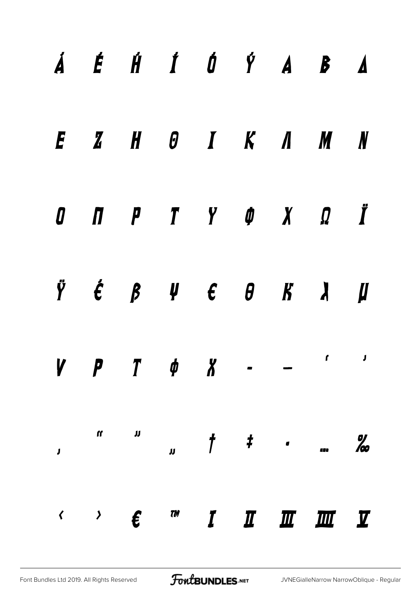|  |                            |  |  | $\acute{A}$ $\acute{E}$ $\acute{H}$ $\acute{I}$ $\acute{O}$ $\acute{Y}$ $\acute{A}$ $\acute{B}$ $\acute{A}$ |            |
|--|----------------------------|--|--|-------------------------------------------------------------------------------------------------------------|------------|
|  |                            |  |  | $E$ $Z$ $H$ $\theta$ $I$ $K$ $\Lambda$ $M$ $N$                                                              |            |
|  |                            |  |  | $0$ $\pi$ $\pi$ $\gamma$ $\phi$ $\chi$ $\Omega$ $\ddot{\pi}$                                                |            |
|  |                            |  |  | $\ddot{Y}$ $\acute{\epsilon}$ $\beta$ $\psi$ $\epsilon$ $\theta$ $\kappa$ $\lambda$ $\mu$                   |            |
|  | $V$ $P$ $T$ $\phi$ $X$ - - |  |  |                                                                                                             | $\sqrt{1}$ |
|  |                            |  |  |                                                                                                             |            |
|  |                            |  |  | $\leftarrow$ $\leftarrow$ $\leftarrow$ $\leftarrow$ $\leftarrow$ $I$ $I$ $I$ $I$ $I$ $I$ $I$                |            |

[Font Bundles Ltd 2019. All Rights Reserved](https://fontbundles.net/) **FoutBUNDLES.NET** [JVNEGialleNarrow NarrowOblique - Regular](https://fontbundles.net/)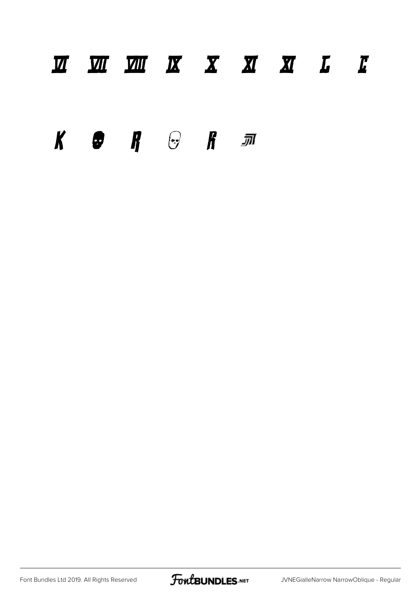#### Ⅵ Ⅶ Ⅷ Ⅸ Ⅹ Ⅺ Ⅻ Ⅼ Ⅽ

 $K$  **e**  $R$   $\odot$   $R$   $\pi$ 

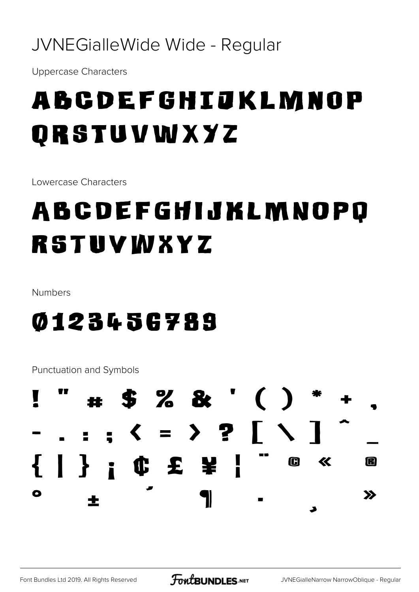#### JVNEGialleWide Wide - Regular

**Uppercase Characters** 

# ABCDEFGHIJKLMNOP ORSTUVWXYZ

Lowercase Characters

# ABCDEFGHIJKLMNOPQ RSTUVWXYZ

Numbers

#### 0123456789

Punctuation and Symbols

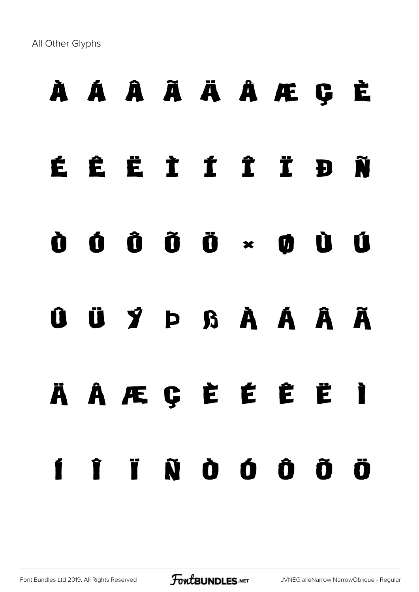All Other Glyphs

### À Á Â Ã Ä Å Æ Ç È

### É Ê Ë Ì Í Î Ï Ð Ñ

#### Ò Ó Ô Õ Ö × Ø Ù Ú

#### Û Ü Ý Þ ß à á â ã

# ä å æ ç è é ê ë ì í î ï ñ ò ó ô õ ö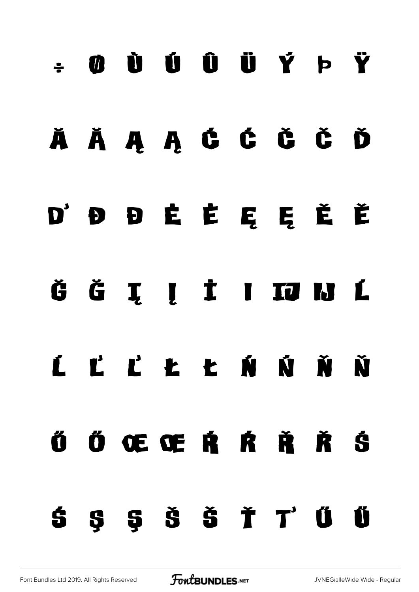# $\div$  0 Ù Ú Ú Û Ü Ý Þ Ÿ

#### Ă ă Ą ą Ć ć Č č Ď

#### ď Đ đ Ė ė Ę ę Ě ě

#### Ğ Ğ Į Į İ I IJ N Ĺ

# ĺ Ľ ľ Ł ł Ń ń Ň ň

# Ő Ő Œ Œ Ŕ Ŕ Ř Ř Ś ś Ş ş Š š Ť ť Ű ű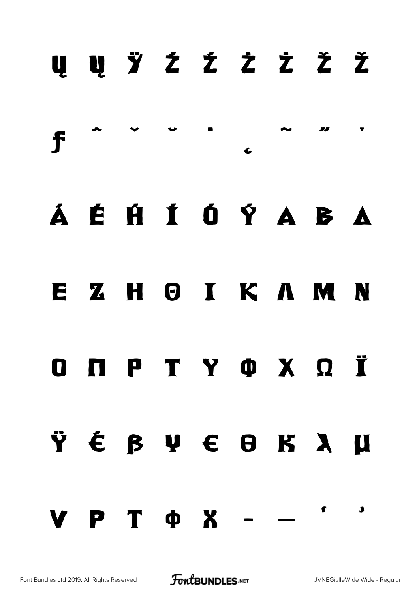|                                                                                            |  |  | Ų Ų Ÿ Ź Ź Ż Ż Ž Ž |  |
|--------------------------------------------------------------------------------------------|--|--|-------------------|--|
|                                                                                            |  |  | $f \sim 10^{-10}$ |  |
|                                                                                            |  |  | Á É HÍ Ó Ý A B A  |  |
|                                                                                            |  |  | EZHOIKAMN         |  |
|                                                                                            |  |  | O N P T Y O X Q Ï |  |
|                                                                                            |  |  | ŸÉ B V E B K X U  |  |
| $\mathbf{V} \quad \mathbf{P} \quad \mathbf{T} \quad \Phi \quad \mathbf{X} \quad - \quad -$ |  |  |                   |  |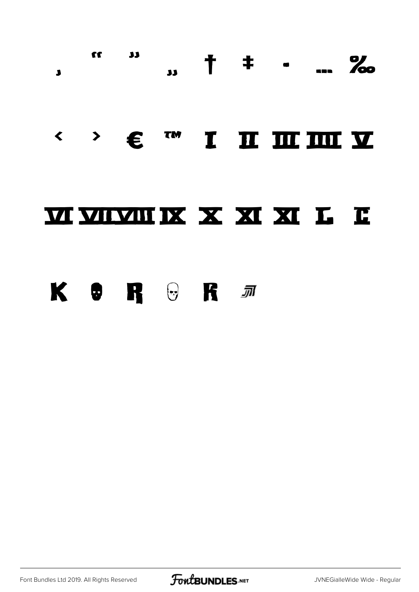

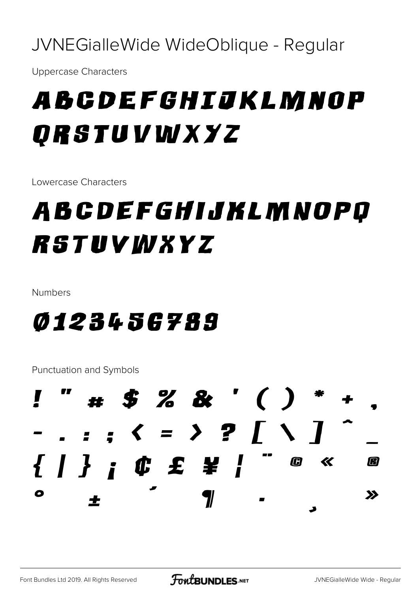JVNEGialleWide WideOblique - Regular

**Uppercase Characters** 

# ABCDEFGHIJKLMNOP ORSTUVWXYZ

Lowercase Characters

### ABCDEFGHIJKLMNOPQ RSTUVWXYZ

Numbers

#### *0123456789*

Punctuation and Symbols

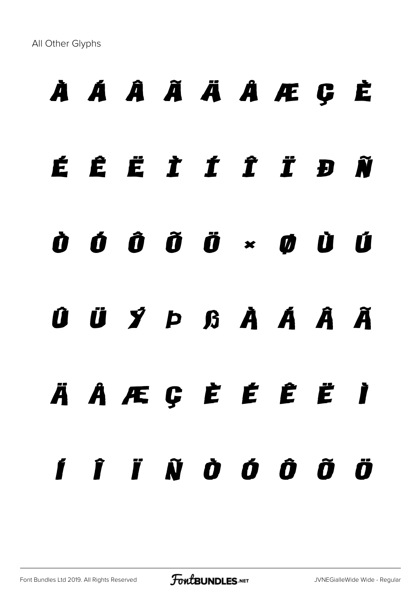All Other Glyphs

# À Á Â Ã Ä Å Æ Ç È

# É Ê Ë Ì Í Î Ï Ð Ñ

#### Ò Ó Ô Õ Ö × Ø Ù Ú

### Û Ü Ý Þ ß à á â ã

# ä å æ ç è é ê ë ì í î ï ñ ò ó ô õ ö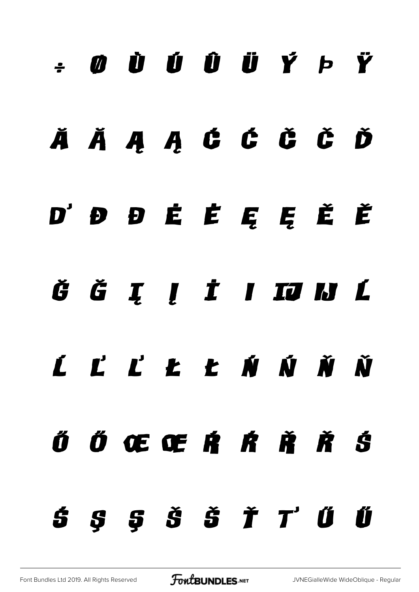# ÷ ø ù ú û ü ý þ ÿ

#### Ă ă Ą ą Ć ć Č č Ď

#### ď Đ đ Ė ė Ę ę Ě ě

## ĞĞI Į İ I TJ IJ L

# ĺ Ľ ľ Ł ł Ń ń Ň ň

# Ő Ő Œ Œ Ŕ Ŕ Ř Ř Ś

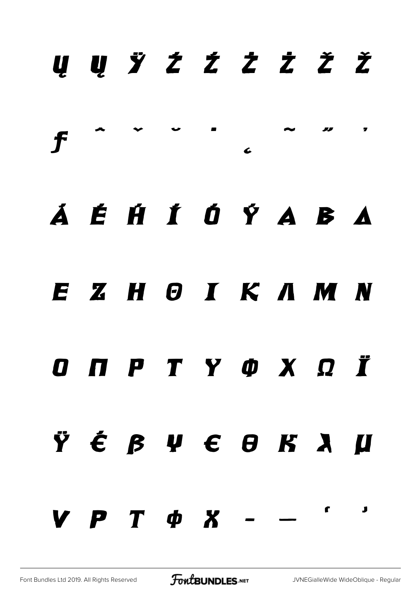|  |                  |  |  | U U Ÿ Ź Ź Ż Ż Ž Ž |  |
|--|------------------|--|--|-------------------|--|
|  |                  |  |  |                   |  |
|  |                  |  |  | Á É HÍ Ó Ý A B A  |  |
|  |                  |  |  | EZHOIKAMN         |  |
|  |                  |  |  | O N P T Y O X Q Ï |  |
|  |                  |  |  | Ÿ É β V € Θ K λ µ |  |
|  | $V P T \phi X -$ |  |  |                   |  |